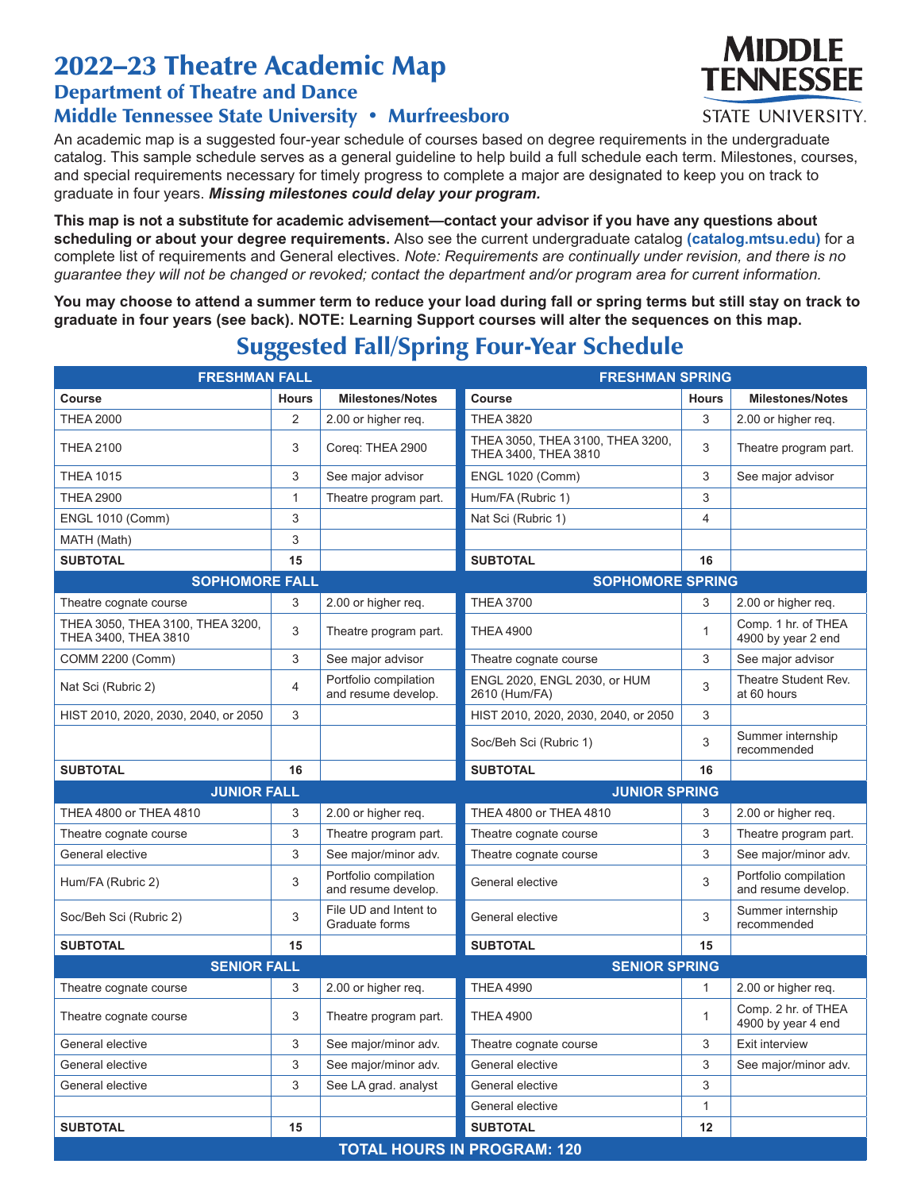## 2022–23 Theatre Academic Map

## Department of Theatre and Dance Middle Tennessee State University • Murfreesboro

An academic map is a suggested four-year schedule of courses based on degree requirements in the undergraduate catalog. This sample schedule serves as a general guideline to help build a full schedule each term. Milestones, courses, and special requirements necessary for timely progress to complete a major are designated to keep you on track to graduate in four years. *Missing milestones could delay your program.*

**This map is not a substitute for academic advisement—contact your advisor if you have any questions about scheduling or about your degree requirements.** Also see the current undergraduate catalog **(catalog.mtsu.edu)** for a complete list of requirements and General electives. *Note: Requirements are continually under revision, and there is no guarantee they will not be changed or revoked; contact the department and/or program area for current information.*

**You may choose to attend a summer term to reduce your load during fall or spring terms but still stay on track to graduate in four years (see back). NOTE: Learning Support courses will alter the sequences on this map.**

## Suggested Fall/Spring Four-Year Schedule

| <b>FRESHMAN FALL</b>                                     |              |                                              | <b>FRESHMAN SPRING</b>                                   |              |                                              |  |  |
|----------------------------------------------------------|--------------|----------------------------------------------|----------------------------------------------------------|--------------|----------------------------------------------|--|--|
| <b>Course</b>                                            | <b>Hours</b> | <b>Milestones/Notes</b>                      | <b>Course</b>                                            | <b>Hours</b> | <b>Milestones/Notes</b>                      |  |  |
| <b>THEA 2000</b>                                         | 2            | 2.00 or higher reg.                          | <b>THEA 3820</b>                                         | 3            | 2.00 or higher reg.                          |  |  |
| <b>THEA 2100</b>                                         | 3            | Coreq: THEA 2900                             | THEA 3050, THEA 3100, THEA 3200,<br>THEA 3400, THEA 3810 | 3            | Theatre program part.                        |  |  |
| <b>THEA 1015</b>                                         | 3            | See major advisor                            | <b>ENGL 1020 (Comm)</b>                                  | 3            | See major advisor                            |  |  |
| <b>THEA 2900</b>                                         | 1            | Theatre program part.                        | Hum/FA (Rubric 1)                                        | 3            |                                              |  |  |
| <b>ENGL 1010 (Comm)</b>                                  | 3            |                                              | Nat Sci (Rubric 1)                                       | 4            |                                              |  |  |
| MATH (Math)                                              | 3            |                                              |                                                          |              |                                              |  |  |
| <b>SUBTOTAL</b>                                          | 15           |                                              | <b>SUBTOTAL</b>                                          | 16           |                                              |  |  |
| <b>SOPHOMORE FALL</b>                                    |              |                                              | <b>SOPHOMORE SPRING</b>                                  |              |                                              |  |  |
| Theatre cognate course                                   | 3            | 2.00 or higher req.                          | <b>THEA 3700</b>                                         | 3            | 2.00 or higher req.                          |  |  |
| THEA 3050, THEA 3100, THEA 3200,<br>THEA 3400, THEA 3810 | 3            | Theatre program part.                        | <b>THEA 4900</b>                                         | $\mathbf{1}$ | Comp. 1 hr. of THEA<br>4900 by year 2 end    |  |  |
| COMM 2200 (Comm)                                         | 3            | See major advisor                            | Theatre cognate course                                   | 3            | See major advisor                            |  |  |
| Nat Sci (Rubric 2)                                       | 4            | Portfolio compilation<br>and resume develop. | ENGL 2020, ENGL 2030, or HUM<br>2610 (Hum/FA)            | 3            | Theatre Student Rev.<br>at 60 hours          |  |  |
| HIST 2010, 2020, 2030, 2040, or 2050                     | 3            |                                              | HIST 2010, 2020, 2030, 2040, or 2050                     | 3            |                                              |  |  |
|                                                          |              |                                              | Soc/Beh Sci (Rubric 1)                                   | 3            | Summer internship<br>recommended             |  |  |
| <b>SUBTOTAL</b>                                          | 16           |                                              | <b>SUBTOTAL</b>                                          | 16           |                                              |  |  |
| <b>JUNIOR FALL</b>                                       |              |                                              | <b>JUNIOR SPRING</b>                                     |              |                                              |  |  |
| THEA 4800 or THEA 4810                                   | 3            | 2.00 or higher req.                          | THEA 4800 or THEA 4810                                   | 3            | 2.00 or higher req.                          |  |  |
| Theatre cognate course                                   | 3            | Theatre program part.                        | Theatre cognate course                                   | 3            | Theatre program part.                        |  |  |
| General elective                                         | 3            | See major/minor adv.                         | Theatre cognate course                                   | 3            | See major/minor adv.                         |  |  |
| Hum/FA (Rubric 2)                                        | 3            | Portfolio compilation<br>and resume develop. | General elective                                         | 3            | Portfolio compilation<br>and resume develop. |  |  |
| Soc/Beh Sci (Rubric 2)                                   | 3            | File UD and Intent to<br>Graduate forms      | General elective                                         | 3            | Summer internship<br>recommended             |  |  |
| <b>SUBTOTAL</b>                                          | 15           |                                              | <b>SUBTOTAL</b>                                          | 15           |                                              |  |  |
| <b>SENIOR FALL</b>                                       |              |                                              | <b>SENIOR SPRING</b>                                     |              |                                              |  |  |
| Theatre cognate course                                   | 3            | 2.00 or higher req.                          | <b>THEA 4990</b>                                         | 1            | 2.00 or higher req.                          |  |  |
| Theatre cognate course                                   | 3            | Theatre program part.                        | <b>THEA 4900</b>                                         | $\mathbf{1}$ | Comp. 2 hr. of THEA<br>4900 by year 4 end    |  |  |
| General elective                                         | 3            | See major/minor adv.                         | Theatre cognate course                                   | 3            | Exit interview                               |  |  |
| General elective                                         | 3            | See major/minor adv.                         | General elective                                         | 3            | See major/minor adv.                         |  |  |
| General elective                                         | 3            | See LA grad. analyst                         | General elective                                         | 3            |                                              |  |  |
|                                                          |              |                                              | General elective                                         | 1            |                                              |  |  |
| <b>SUBTOTAL</b>                                          | 15           |                                              | <b>SUBTOTAL</b>                                          | 12           |                                              |  |  |
| <b>TOTAL HOURS IN PROGRAM: 120</b>                       |              |                                              |                                                          |              |                                              |  |  |



STATE UNIVERSITY.